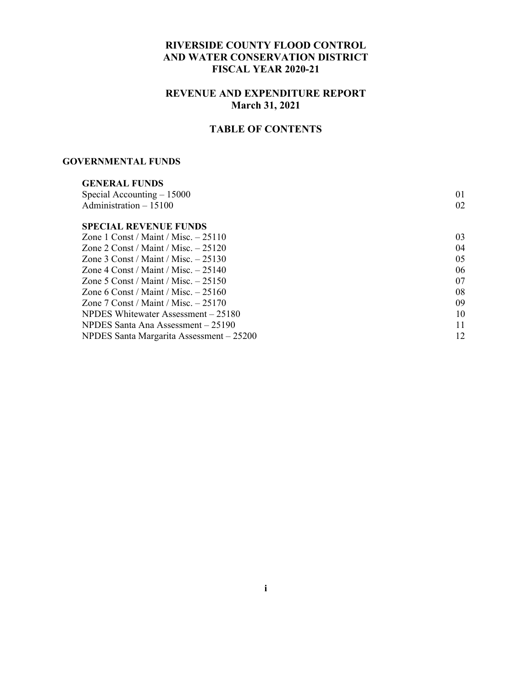### **RIVERSIDE COUNTY FLOOD CONTROL AND WATER CONSERVATION DISTRICT FISCAL YEAR 2020-21**

### **REVENUE AND EXPENDITURE REPORT March 31, 2021**

# **TABLE OF CONTENTS**

#### **GOVERNMENTAL FUNDS**

| <b>GENERAL FUNDS</b>                     |    |
|------------------------------------------|----|
| Special Accounting $-15000$              | 01 |
| Administration $-15100$                  | 02 |
| <b>SPECIAL REVENUE FUNDS</b>             |    |
| Zone 1 Const / Maint / Misc. $-25110$    | 03 |
| Zone 2 Const / Maint / Misc. $-25120$    | 04 |
| Zone 3 Const / Maint / Misc. $-25130$    | 05 |
| Zone 4 Const / Maint / Misc. $-25140$    | 06 |
| Zone 5 Const / Maint / Misc. $-25150$    | 07 |
| Zone 6 Const / Maint / Misc. $-25160$    | 08 |
| Zone 7 Const / Maint / Misc. $-25170$    | 09 |
| NPDES Whitewater Assessment – 25180      | 10 |
| NPDES Santa Ana Assessment – 25190       | 11 |
| NPDES Santa Margarita Assessment - 25200 | 12 |
|                                          |    |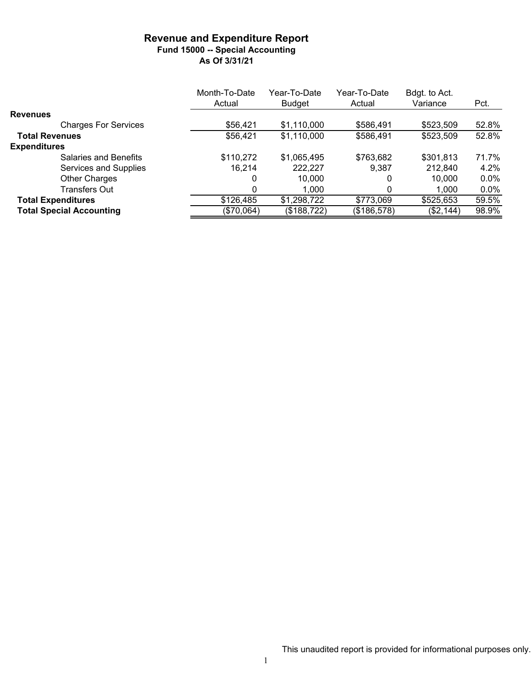#### **Revenue and Expenditure Report Fund 15000 -- Special Accounting As Of 3/31/21**

|                                 | Month-To-Date | Year-To-Date  | Year-To-Date | Bdgt. to Act. |         |
|---------------------------------|---------------|---------------|--------------|---------------|---------|
|                                 | Actual        | <b>Budget</b> | Actual       | Variance      | Pct.    |
| <b>Revenues</b>                 |               |               |              |               |         |
| <b>Charges For Services</b>     | \$56,421      | \$1,110,000   | \$586,491    | \$523,509     | 52.8%   |
| <b>Total Revenues</b>           | \$56,421      | \$1,110,000   | \$586,491    | \$523,509     | 52.8%   |
| <b>Expenditures</b>             |               |               |              |               |         |
| <b>Salaries and Benefits</b>    | \$110,272     | \$1,065,495   | \$763,682    | \$301,813     | 71.7%   |
| Services and Supplies           | 16,214        | 222,227       | 9.387        | 212,840       | 4.2%    |
| Other Charges                   | 0             | 10.000        | 0            | 10.000        | $0.0\%$ |
| <b>Transfers Out</b>            |               | 1.000         |              | 1.000         | $0.0\%$ |
| <b>Total Expenditures</b>       | \$126,485     | \$1,298,722   | \$773,069    | \$525,653     | 59.5%   |
| <b>Total Special Accounting</b> | (\$70,064)    | (\$188,722)   | (\$186,578)  | (\$2,144)     | 98.9%   |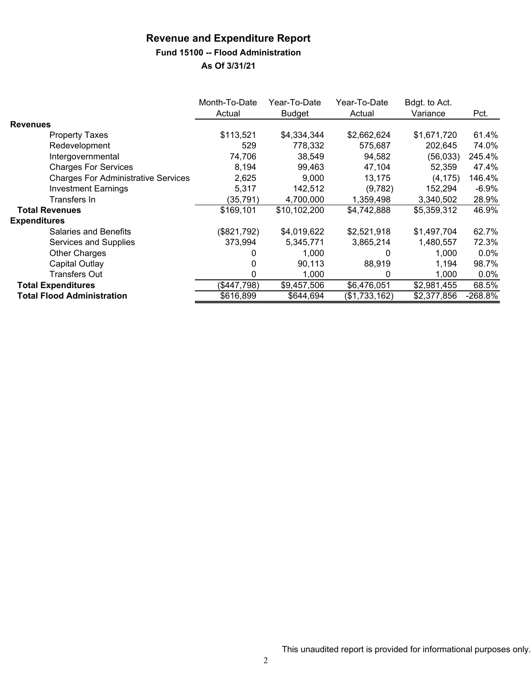# **Fund 15100 -- Flood Administration**

|                                            | Month-To-Date<br>Actual | Year-To-Date<br><b>Budget</b> | Year-To-Date<br>Actual | Bdgt. to Act.<br>Variance | Pct.      |
|--------------------------------------------|-------------------------|-------------------------------|------------------------|---------------------------|-----------|
| <b>Revenues</b>                            |                         |                               |                        |                           |           |
| <b>Property Taxes</b>                      | \$113,521               | \$4,334,344                   | \$2,662,624            | \$1,671,720               | 61.4%     |
| Redevelopment                              | 529                     | 778,332                       | 575,687                | 202,645                   | 74.0%     |
| Intergovernmental                          | 74,706                  | 38.549                        | 94,582                 | (56,033)                  | 245.4%    |
| <b>Charges For Services</b>                | 8,194                   | 99.463                        | 47,104                 | 52,359                    | 47.4%     |
| <b>Charges For Administrative Services</b> | 2,625                   | 9,000                         | 13,175                 | (4, 175)                  | 146.4%    |
| <b>Investment Earnings</b>                 | 5,317                   | 142,512                       | (9,782)                | 152,294                   | $-6.9%$   |
| Transfers In                               | (35, 791)               | 4,700,000                     | 1,359,498              | 3,340,502                 | 28.9%     |
| <b>Total Revenues</b>                      | \$169,101               | \$10,102,200                  | \$4,742,888            | \$5,359,312               | 46.9%     |
| <b>Expenditures</b>                        |                         |                               |                        |                           |           |
| <b>Salaries and Benefits</b>               | (\$821,792)             | \$4,019,622                   | \$2,521,918            | \$1,497,704               | 62.7%     |
| Services and Supplies                      | 373,994                 | 5,345,771                     | 3,865,214              | 1,480,557                 | 72.3%     |
| Other Charges                              |                         | 1,000                         |                        | 1.000                     | $0.0\%$   |
| Capital Outlay                             |                         | 90,113                        | 88,919                 | 1,194                     | 98.7%     |
| Transfers Out                              | 0                       | 1,000                         | 0                      | 1,000                     | $0.0\%$   |
| <b>Total Expenditures</b>                  | (\$447,798)             | \$9,457,506                   | \$6,476,051            | \$2,981,455               | 68.5%     |
| <b>Total Flood Administration</b>          | \$616,899               | \$644,694                     | (\$1,733,162)          | \$2,377,856               | $-268.8%$ |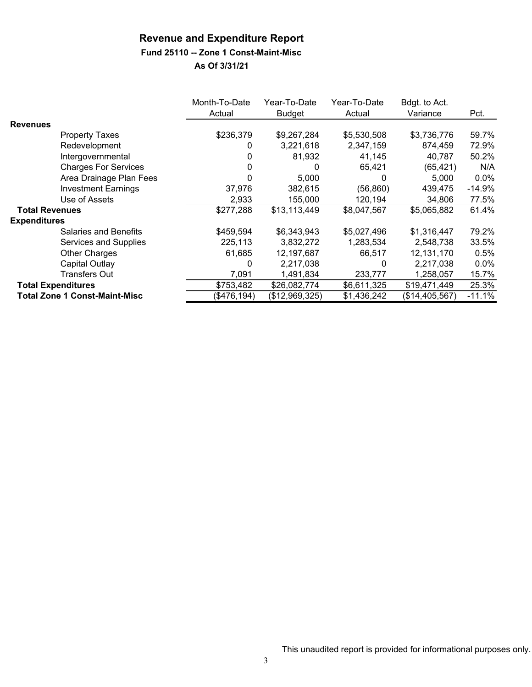# **Fund 25110 -- Zone 1 Const-Maint-Misc**

|                       |                                      | Month-To-Date<br>Actual | Year-To-Date<br>Budget | Year-To-Date<br>Actual | Bdgt. to Act.<br>Variance | Pct.     |
|-----------------------|--------------------------------------|-------------------------|------------------------|------------------------|---------------------------|----------|
| <b>Revenues</b>       |                                      |                         |                        |                        |                           |          |
|                       | <b>Property Taxes</b>                | \$236,379               | \$9,267,284            | \$5,530,508            | \$3,736,776               | 59.7%    |
|                       | Redevelopment                        | 0                       | 3,221,618              | 2,347,159              | 874,459                   | 72.9%    |
|                       | Intergovernmental                    | 0                       | 81,932                 | 41,145                 | 40,787                    | 50.2%    |
|                       | <b>Charges For Services</b>          |                         | 0                      | 65,421                 | (65, 421)                 | N/A      |
|                       | Area Drainage Plan Fees              |                         | 5,000                  | 0                      | 5,000                     | $0.0\%$  |
|                       | <b>Investment Earnings</b>           | 37,976                  | 382,615                | (56, 860)              | 439,475                   | $-14.9%$ |
|                       | Use of Assets                        | 2,933                   | 155,000                | 120,194                | 34,806                    | 77.5%    |
| <b>Total Revenues</b> |                                      | \$277,288               | \$13,113,449           | \$8,047,567            | \$5,065,882               | 61.4%    |
| <b>Expenditures</b>   |                                      |                         |                        |                        |                           |          |
|                       | <b>Salaries and Benefits</b>         | \$459,594               | \$6,343,943            | \$5,027,496            | \$1,316,447               | 79.2%    |
|                       | Services and Supplies                | 225,113                 | 3,832,272              | 1,283,534              | 2,548,738                 | 33.5%    |
|                       | Other Charges                        | 61,685                  | 12,197,687             | 66,517                 | 12,131,170                | 0.5%     |
|                       | Capital Outlay                       | 0                       | 2,217,038              | 0                      | 2,217,038                 | $0.0\%$  |
|                       | <b>Transfers Out</b>                 | 7,091                   | 1,491,834              | 233,777                | 1,258,057                 | 15.7%    |
|                       | <b>Total Expenditures</b>            | \$753,482               | \$26,082,774           | \$6,611,325            | \$19,471,449              | 25.3%    |
|                       | <b>Total Zone 1 Const-Maint-Misc</b> | (\$476,194)             | (\$12,969,325)         | \$1,436,242            | (\$14,405,567)            | $-11.1%$ |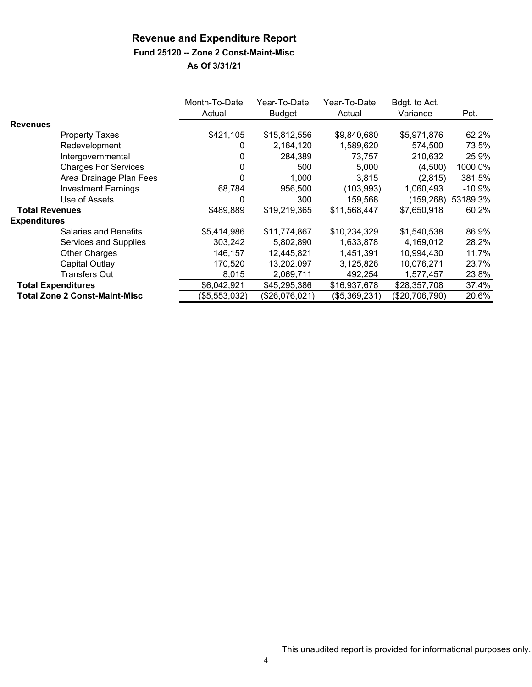### **Fund 25120 -- Zone 2 Const-Maint-Misc**

|                       |                                      | Month-To-Date<br>Actual | Year-To-Date<br><b>Budget</b> | Year-To-Date<br>Actual | Bdgt. to Act.<br>Variance | Pct.     |
|-----------------------|--------------------------------------|-------------------------|-------------------------------|------------------------|---------------------------|----------|
| <b>Revenues</b>       |                                      |                         |                               |                        |                           |          |
|                       | <b>Property Taxes</b>                | \$421,105               | \$15,812,556                  | \$9,840,680            | \$5,971,876               | 62.2%    |
|                       | Redevelopment                        | 0                       | 2,164,120                     | 1,589,620              | 574,500                   | 73.5%    |
|                       | Intergovernmental                    | 0                       | 284,389                       | 73,757                 | 210,632                   | 25.9%    |
|                       | <b>Charges For Services</b>          |                         | 500                           | 5.000                  | (4,500)                   | 1000.0%  |
|                       | Area Drainage Plan Fees              | 0                       | 1,000                         | 3,815                  | (2,815)                   | 381.5%   |
|                       | <b>Investment Earnings</b>           | 68,784                  | 956,500                       | (103, 993)             | 1,060,493                 | $-10.9%$ |
|                       | Use of Assets                        | 0                       | 300                           | 159,568                | (159,268)                 | 53189.3% |
| <b>Total Revenues</b> |                                      | \$489,889               | \$19,219,365                  | \$11,568,447           | \$7,650,918               | 60.2%    |
| <b>Expenditures</b>   |                                      |                         |                               |                        |                           |          |
|                       | <b>Salaries and Benefits</b>         | \$5,414,986             | \$11,774,867                  | \$10,234,329           | \$1,540,538               | 86.9%    |
|                       | Services and Supplies                | 303,242                 | 5,802,890                     | 1,633,878              | 4,169,012                 | 28.2%    |
|                       | Other Charges                        | 146,157                 | 12,445,821                    | 1,451,391              | 10,994,430                | 11.7%    |
|                       | <b>Capital Outlay</b>                | 170.520                 | 13,202,097                    | 3,125,826              | 10,076,271                | 23.7%    |
|                       | Transfers Out                        | 8,015                   | 2,069,711                     | 492,254                | 1,577,457                 | 23.8%    |
|                       | <b>Total Expenditures</b>            | \$6,042,921             | \$45,295,386                  | \$16,937,678           | \$28,357,708              | 37.4%    |
|                       | <b>Total Zone 2 Const-Maint-Misc</b> | (\$5,553,032)           | (\$26,076,021)                | (\$5,369,231)          | (\$20,706,790)            | 20.6%    |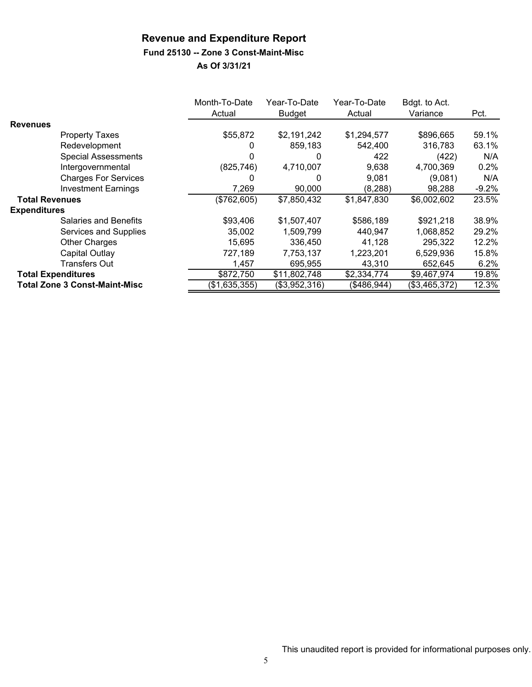# **Fund 25130 -- Zone 3 Const-Maint-Misc**

|                       |                                      | Month-To-Date<br>Actual | Year-To-Date<br><b>Budget</b> | Year-To-Date<br>Actual | Bdgt. to Act.<br>Variance | Pct.    |
|-----------------------|--------------------------------------|-------------------------|-------------------------------|------------------------|---------------------------|---------|
| <b>Revenues</b>       |                                      |                         |                               |                        |                           |         |
|                       | <b>Property Taxes</b>                | \$55,872                | \$2,191,242                   | \$1,294,577            | \$896,665                 | 59.1%   |
|                       | Redevelopment                        |                         | 859,183                       | 542,400                | 316,783                   | 63.1%   |
|                       | <b>Special Assessments</b>           |                         | 0                             | 422                    | (422)                     | N/A     |
|                       | Intergovernmental                    | (825, 746)              | 4,710,007                     | 9,638                  | 4,700,369                 | 0.2%    |
|                       | <b>Charges For Services</b>          |                         | $\Omega$                      | 9,081                  | (9,081)                   | N/A     |
|                       | <b>Investment Earnings</b>           | 7,269                   | 90,000                        | (8, 288)               | 98,288                    | $-9.2%$ |
| <b>Total Revenues</b> |                                      | (\$762,605)             | \$7,850,432                   | \$1,847,830            | \$6,002,602               | 23.5%   |
| <b>Expenditures</b>   |                                      |                         |                               |                        |                           |         |
|                       | Salaries and Benefits                | \$93,406                | \$1,507,407                   | \$586,189              | \$921,218                 | 38.9%   |
|                       | Services and Supplies                | 35,002                  | 1,509,799                     | 440,947                | 1,068,852                 | 29.2%   |
|                       | <b>Other Charges</b>                 | 15,695                  | 336.450                       | 41.128                 | 295,322                   | 12.2%   |
|                       | <b>Capital Outlay</b>                | 727,189                 | 7,753,137                     | 1,223,201              | 6,529,936                 | 15.8%   |
|                       | Transfers Out                        | 1,457                   | 695,955                       | 43,310                 | 652,645                   | 6.2%    |
|                       | <b>Total Expenditures</b>            | \$872,750               | \$11,802,748                  | \$2,334,774            | \$9,467,974               | 19.8%   |
|                       | <b>Total Zone 3 Const-Maint-Misc</b> | (\$1,635,355)           | (\$3,952,316)                 | (\$486,944)            | (\$3,465,372)             | 12.3%   |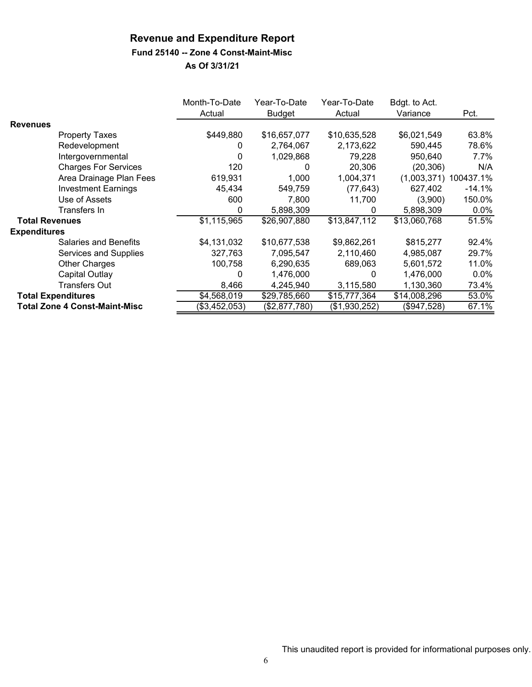# **Fund 25140 -- Zone 4 Const-Maint-Misc**

|                       |                                      | Month-To-Date | Year-To-Date  | Year-To-Date  | Bdgt. to Act. |           |
|-----------------------|--------------------------------------|---------------|---------------|---------------|---------------|-----------|
|                       |                                      | Actual        | <b>Budget</b> | Actual        | Variance      | Pct.      |
| <b>Revenues</b>       |                                      |               |               |               |               |           |
|                       | Property Taxes                       | \$449,880     | \$16,657,077  | \$10,635,528  | \$6,021,549   | 63.8%     |
|                       | Redevelopment                        | 0             | 2,764,067     | 2,173,622     | 590,445       | 78.6%     |
|                       | Intergovernmental                    | 0             | 1,029,868     | 79,228        | 950.640       | 7.7%      |
|                       | <b>Charges For Services</b>          | 120           | $\Omega$      | 20,306        | (20, 306)     | N/A       |
|                       | Area Drainage Plan Fees              | 619,931       | 1,000         | 1,004,371     | (1,003,371)   | 100437.1% |
|                       | <b>Investment Earnings</b>           | 45,434        | 549,759       | (77, 643)     | 627,402       | $-14.1%$  |
|                       | Use of Assets                        | 600           | 7,800         | 11,700        | (3,900)       | 150.0%    |
|                       | Transfers In                         | 0             | 5,898,309     | $\mathbf{0}$  | 5,898,309     | $0.0\%$   |
| <b>Total Revenues</b> |                                      | \$1,115,965   | \$26,907,880  | \$13,847,112  | \$13,060,768  | 51.5%     |
| <b>Expenditures</b>   |                                      |               |               |               |               |           |
|                       | <b>Salaries and Benefits</b>         | \$4,131,032   | \$10,677,538  | \$9,862,261   | \$815,277     | 92.4%     |
|                       | Services and Supplies                | 327,763       | 7,095,547     | 2,110,460     | 4,985,087     | 29.7%     |
|                       | <b>Other Charges</b>                 | 100,758       | 6,290,635     | 689,063       | 5,601,572     | 11.0%     |
|                       | Capital Outlay                       | 0             | 1,476,000     | 0             | 1,476,000     | $0.0\%$   |
|                       | <b>Transfers Out</b>                 | 8,466         | 4,245,940     | 3,115,580     | 1,130,360     | 73.4%     |
|                       | <b>Total Expenditures</b>            | \$4,568,019   | \$29,785,660  | \$15,777,364  | \$14,008,296  | 53.0%     |
|                       | <b>Total Zone 4 Const-Maint-Misc</b> | (\$3,452,053) | (\$2,877,780) | (\$1,930,252) | (\$947,528)   | 67.1%     |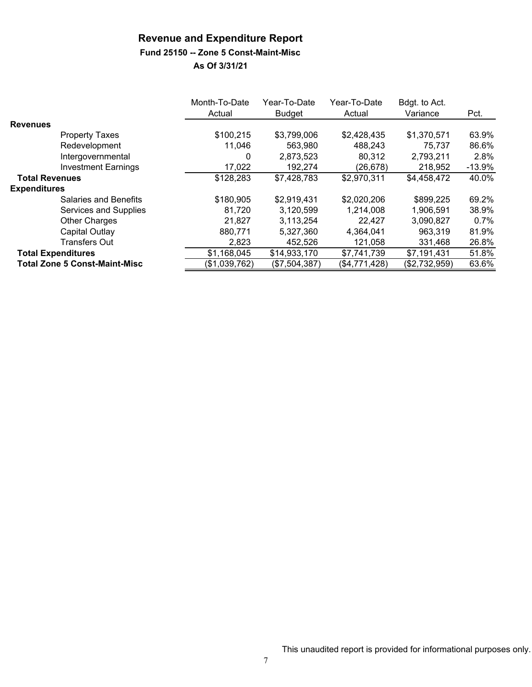## **Fund 25150 -- Zone 5 Const-Maint-Misc**

|                                      | Month-To-Date<br>Actual | Year-To-Date<br><b>Budget</b> | Year-To-Date<br>Actual | Bdgt. to Act.<br>Variance | Pct.      |
|--------------------------------------|-------------------------|-------------------------------|------------------------|---------------------------|-----------|
| <b>Revenues</b>                      |                         |                               |                        |                           |           |
| <b>Property Taxes</b>                | \$100,215               | \$3,799,006                   | \$2,428,435            | \$1,370,571               | 63.9%     |
| Redevelopment                        | 11,046                  | 563,980                       | 488,243                | 75,737                    | 86.6%     |
| Intergovernmental                    | 0                       | 2,873,523                     | 80,312                 | 2,793,211                 | 2.8%      |
| <b>Investment Earnings</b>           | 17,022                  | 192,274                       | (26, 678)              | 218,952                   | $-13.9\%$ |
| <b>Total Revenues</b>                | \$128,283               | \$7,428,783                   | \$2,970,311            | \$4,458,472               | 40.0%     |
| <b>Expenditures</b>                  |                         |                               |                        |                           |           |
| Salaries and Benefits                | \$180,905               | \$2,919,431                   | \$2,020,206            | \$899,225                 | 69.2%     |
| Services and Supplies                | 81,720                  | 3,120,599                     | 1,214,008              | 1,906,591                 | 38.9%     |
| <b>Other Charges</b>                 | 21,827                  | 3,113,254                     | 22,427                 | 3,090,827                 | 0.7%      |
| Capital Outlay                       | 880,771                 | 5,327,360                     | 4,364,041              | 963,319                   | 81.9%     |
| <b>Transfers Out</b>                 | 2,823                   | 452,526                       | 121,058                | 331,468                   | 26.8%     |
| <b>Total Expenditures</b>            | \$1,168,045             | \$14,933,170                  | \$7,741,739            | \$7,191,431               | 51.8%     |
| <b>Total Zone 5 Const-Maint-Misc</b> | (\$1,039,762)           | (\$7,504,387)                 | (\$4,771,428)          | (\$2,732,959)             | 63.6%     |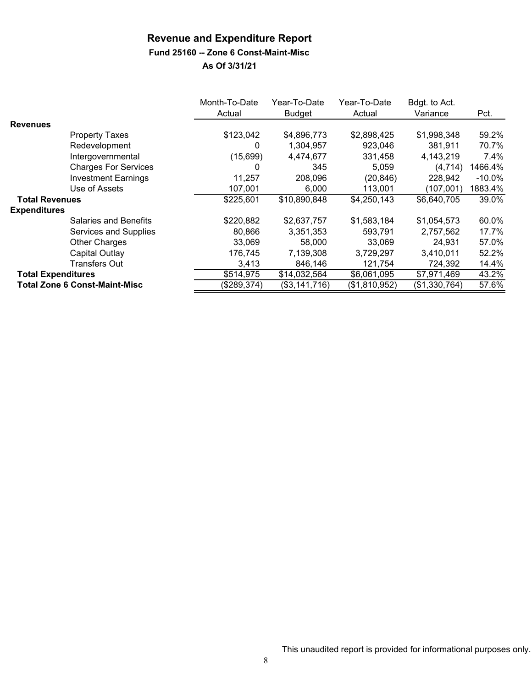## **Fund 25160 -- Zone 6 Const-Maint-Misc**

|                           |                                      | Month-To-Date | Year-To-Date  | Year-To-Date  | Bdgt. to Act. |           |
|---------------------------|--------------------------------------|---------------|---------------|---------------|---------------|-----------|
|                           |                                      | Actual        | <b>Budget</b> | Actual        | Variance      | Pct.      |
| <b>Revenues</b>           |                                      |               |               |               |               |           |
|                           | <b>Property Taxes</b>                | \$123,042     | \$4,896,773   | \$2,898,425   | \$1,998,348   | 59.2%     |
|                           | Redevelopment                        | 0             | 1,304,957     | 923,046       | 381,911       | 70.7%     |
|                           | Intergovernmental                    | (15,699)      | 4,474,677     | 331,458       | 4,143,219     | 7.4%      |
|                           | <b>Charges For Services</b>          | $\Omega$      | 345           | 5,059         | (4, 714)      | 1466.4%   |
|                           | <b>Investment Earnings</b>           | 11,257        | 208,096       | (20, 846)     | 228,942       | $-10.0\%$ |
|                           | Use of Assets                        | 107,001       | 6,000         | 113,001       | (107,001)     | 1883.4%   |
| <b>Total Revenues</b>     |                                      | \$225,601     | \$10,890,848  | \$4,250,143   | \$6,640,705   | 39.0%     |
| <b>Expenditures</b>       |                                      |               |               |               |               |           |
|                           | Salaries and Benefits                | \$220,882     | \$2,637,757   | \$1,583,184   | \$1,054,573   | 60.0%     |
|                           | Services and Supplies                | 80,866        | 3,351,353     | 593,791       | 2,757,562     | 17.7%     |
|                           | <b>Other Charges</b>                 | 33,069        | 58,000        | 33.069        | 24.931        | 57.0%     |
|                           | Capital Outlay                       | 176,745       | 7,139,308     | 3,729,297     | 3,410,011     | 52.2%     |
|                           | <b>Transfers Out</b>                 | 3,413         | 846.146       | 121,754       | 724,392       | 14.4%     |
| <b>Total Expenditures</b> |                                      | \$514,975     | \$14,032,564  | \$6,061,095   | \$7,971,469   | 43.2%     |
|                           | <b>Total Zone 6 Const-Maint-Misc</b> | (\$289,374)   | (\$3,141,716) | (\$1,810,952) | (\$1,330,764) | 57.6%     |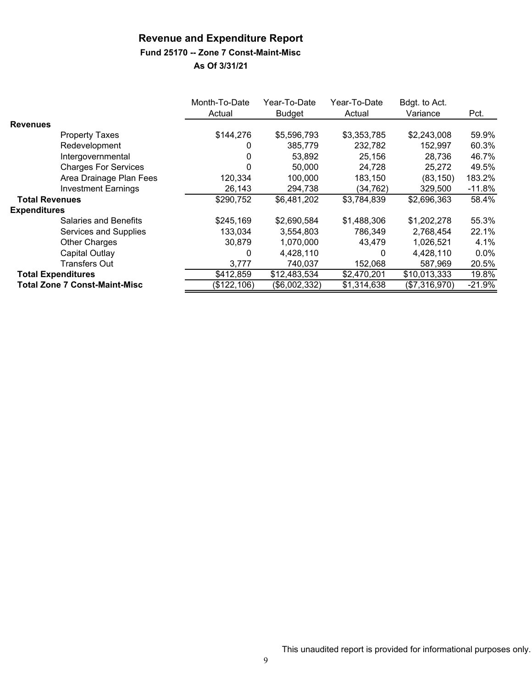# **Fund 25170 -- Zone 7 Const-Maint-Misc**

|                       |                                      | Month-To-Date | Year-To-Date  | Year-To-Date | Bdgt. to Act. |          |
|-----------------------|--------------------------------------|---------------|---------------|--------------|---------------|----------|
|                       |                                      | Actual        | <b>Budget</b> | Actual       | Variance      | Pct.     |
| <b>Revenues</b>       |                                      |               |               |              |               |          |
|                       | <b>Property Taxes</b>                | \$144,276     | \$5,596,793   | \$3,353,785  | \$2,243,008   | 59.9%    |
|                       | Redevelopment                        |               | 385,779       | 232,782      | 152,997       | 60.3%    |
|                       | Intergovernmental                    | 0             | 53,892        | 25,156       | 28,736        | 46.7%    |
|                       | <b>Charges For Services</b>          | 0             | 50.000        | 24,728       | 25,272        | 49.5%    |
|                       | Area Drainage Plan Fees              | 120,334       | 100,000       | 183,150      | (83, 150)     | 183.2%   |
|                       | <b>Investment Earnings</b>           | 26,143        | 294,738       | (34, 762)    | 329,500       | $-11.8%$ |
| <b>Total Revenues</b> |                                      | \$290,752     | \$6,481,202   | \$3,784,839  | \$2,696,363   | 58.4%    |
| <b>Expenditures</b>   |                                      |               |               |              |               |          |
|                       | <b>Salaries and Benefits</b>         | \$245,169     | \$2,690,584   | \$1,488,306  | \$1,202,278   | 55.3%    |
|                       | Services and Supplies                | 133,034       | 3,554,803     | 786,349      | 2,768,454     | 22.1%    |
|                       | <b>Other Charges</b>                 | 30,879        | 1,070,000     | 43.479       | 1,026,521     | 4.1%     |
|                       | Capital Outlay                       | 0             | 4,428,110     | 0            | 4,428,110     | $0.0\%$  |
|                       | Transfers Out                        | 3,777         | 740,037       | 152,068      | 587.969       | 20.5%    |
|                       | <b>Total Expenditures</b>            | \$412,859     | \$12,483,534  | \$2,470,201  | \$10,013,333  | 19.8%    |
|                       | <b>Total Zone 7 Const-Maint-Misc</b> | (\$122, 106)  | (\$6,002,332) | \$1,314,638  | (\$7,316,970) | $-21.9%$ |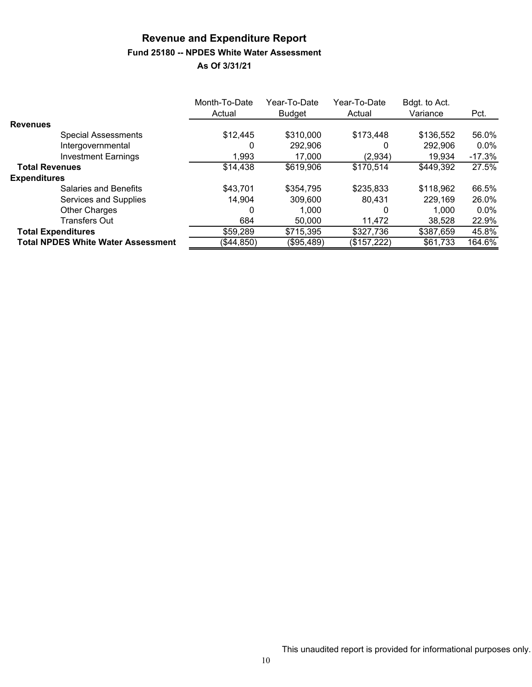# **Revenue and Expenditure Report Fund 25180 -- NPDES White Water Assessment**

|                                           | Month-To-Date<br>Actual | Year-To-Date<br><b>Budget</b> | Year-To-Date<br>Actual | Bdgt. to Act.<br>Variance | Pct.     |
|-------------------------------------------|-------------------------|-------------------------------|------------------------|---------------------------|----------|
| <b>Revenues</b>                           |                         |                               |                        |                           |          |
| <b>Special Assessments</b>                | \$12,445                | \$310,000                     | \$173,448              | \$136,552                 | 56.0%    |
| Intergovernmental                         |                         | 292,906                       | $\Omega$               | 292,906                   | $0.0\%$  |
| <b>Investment Earnings</b>                | 1,993                   | 17,000                        | (2,934)                | 19,934                    | $-17.3%$ |
| <b>Total Revenues</b>                     | \$14,438                | \$619,906                     | \$170,514              | \$449,392                 | 27.5%    |
| <b>Expenditures</b>                       |                         |                               |                        |                           |          |
| Salaries and Benefits                     | \$43,701                | \$354,795                     | \$235,833              | \$118,962                 | 66.5%    |
| Services and Supplies                     | 14,904                  | 309,600                       | 80,431                 | 229,169                   | 26.0%    |
| <b>Other Charges</b>                      | 0                       | 1.000                         | 0                      | 1.000                     | $0.0\%$  |
| <b>Transfers Out</b>                      | 684                     | 50,000                        | 11,472                 | 38,528                    | 22.9%    |
| <b>Total Expenditures</b>                 | \$59,289                | \$715,395                     | \$327,736              | \$387,659                 | 45.8%    |
| <b>Total NPDES White Water Assessment</b> | (\$44,850)              | (\$95,489)                    | (\$157,222)            | \$61,733                  | 164.6%   |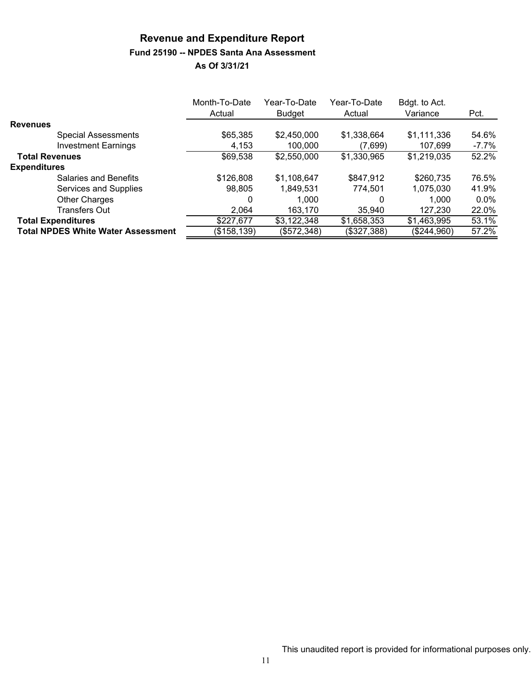# **Revenue and Expenditure Report Fund 25190 -- NPDES Santa Ana Assessment**

|                                           | Month-To-Date<br>Actual | Year-To-Date<br><b>Budget</b> | Year-To-Date<br>Actual | Bdgt. to Act.<br>Variance | Pct.    |
|-------------------------------------------|-------------------------|-------------------------------|------------------------|---------------------------|---------|
| <b>Revenues</b>                           |                         |                               |                        |                           |         |
| <b>Special Assessments</b>                | \$65,385                | \$2,450,000                   | \$1,338,664            | \$1,111,336               | 54.6%   |
| <b>Investment Earnings</b>                | 4,153                   | 100,000                       | (7,699)                | 107,699                   | -7.7%   |
| <b>Total Revenues</b>                     | \$69,538                | \$2,550,000                   | \$1,330,965            | \$1,219,035               | 52.2%   |
| <b>Expenditures</b>                       |                         |                               |                        |                           |         |
| Salaries and Benefits                     | \$126,808               | \$1,108,647                   | \$847,912              | \$260,735                 | 76.5%   |
| Services and Supplies                     | 98,805                  | 1,849,531                     | 774,501                | 1,075,030                 | 41.9%   |
| <b>Other Charges</b>                      | 0                       | 1.000                         | 0                      | 1,000                     | $0.0\%$ |
| Transfers Out                             | 2.064                   | 163,170                       | 35.940                 | 127,230                   | 22.0%   |
| <b>Total Expenditures</b>                 | \$227,677               | \$3,122,348                   | \$1,658,353            | \$1,463,995               | 53.1%   |
| <b>Total NPDES White Water Assessment</b> | (\$158,139)             | (\$572,348)                   | (\$327,388)            | (\$244,960)               | 57.2%   |